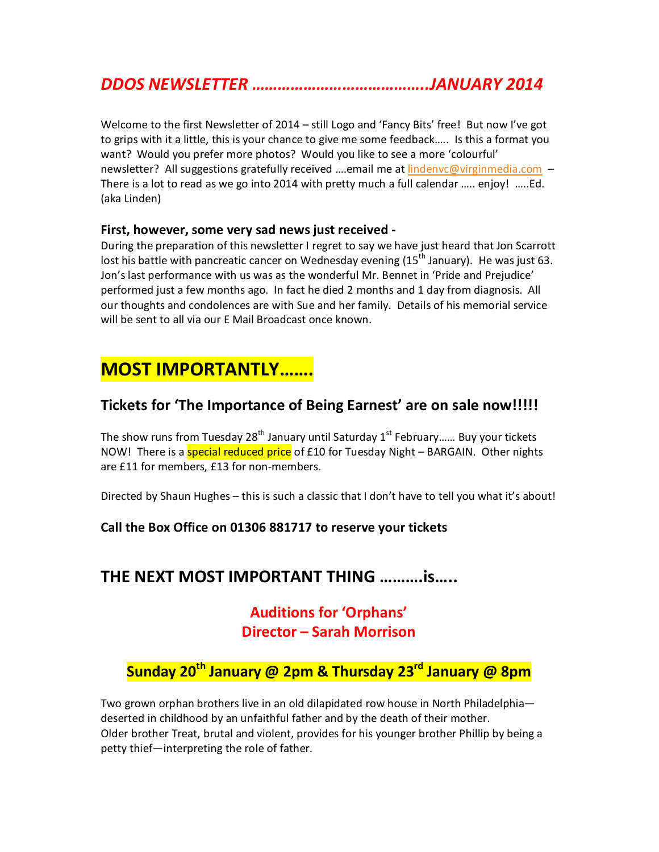## *DDOS NEWSLETTER …………………………………..JANUARY 2014*

Welcome to the first Newsletter of 2014 – still Logo and 'Fancy Bits' free! But now I've got to grips with it a little, this is your chance to give me some feedback….. Is this a format you want? Would you prefer more photos? Would you like to see a more 'colourful' newsletter? All suggestions gratefully received ....email me at lindenvc@virginmedia.com -There is a lot to read as we go into 2014 with pretty much a full calendar ….. enjoy! …..Ed. (aka Linden)

#### **First, however, some very sad news just received -**

During the preparation of this newsletter I regret to say we have just heard that Jon Scarrott lost his battle with pancreatic cancer on Wednesday evening  $(15<sup>th</sup>$  January). He was just 63. Jon's last performance with us was as the wonderful Mr. Bennet in 'Pride and Prejudice' performed just a few months ago. In fact he died 2 months and 1 day from diagnosis. All our thoughts and condolences are with Sue and her family. Details of his memorial service will be sent to all via our E Mail Broadcast once known.

# **MOST IMPORTANTLY…….**

#### **Tickets for 'The Importance of Being Earnest' are on sale now!!!!!**

The show runs from Tuesday 28<sup>th</sup> January until Saturday  $1<sup>st</sup>$  February...... Buy your tickets NOW! There is a **special reduced price** of £10 for Tuesday Night – BARGAIN. Other nights are £11 for members, £13 for non-members.

Directed by Shaun Hughes – this is such a classic that I don't have to tell you what it's about!

#### **Call the Box Office on 01306 881717 to reserve your tickets**

### **THE NEXT MOST IMPORTANT THING ……….is…..**

## **Auditions for 'Orphans' Director – Sarah Morrison**

## **Sunday 20th January @ 2pm & Thursday 23rd January @ 8pm**

Two grown orphan brothers live in an old dilapidated row house in North Philadelphia deserted in childhood by an unfaithful father and by the death of their mother. Older brother Treat, brutal and violent, provides for his younger brother Phillip by being a petty thief—interpreting the role of father.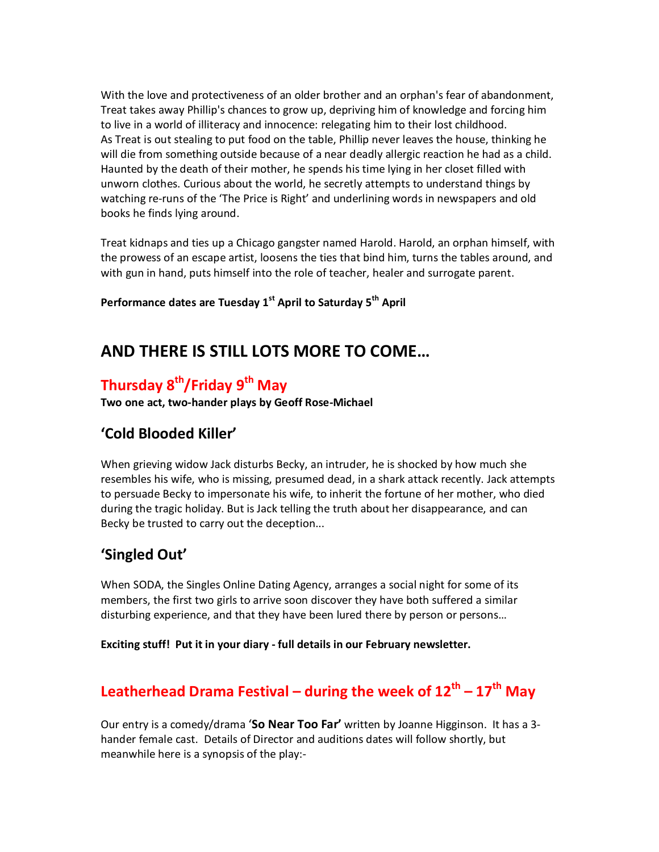With the love and protectiveness of an older brother and an orphan's fear of abandonment, Treat takes away Phillip's chances to grow up, depriving him of knowledge and forcing him to live in a world of illiteracy and innocence: relegating him to their lost childhood. As Treat is out stealing to put food on the table, Phillip never leaves the house, thinking he will die from something outside because of a near deadly allergic reaction he had as a child. Haunted by the death of their mother, he spends his time lying in her closet filled with unworn clothes. Curious about the world, he secretly attempts to understand things by watching re-runs of the 'The Price is Right' and underlining words in newspapers and old books he finds lying around.

Treat kidnaps and ties up a Chicago gangster named Harold. Harold, an orphan himself, with the prowess of an escape artist, loosens the ties that bind him, turns the tables around, and with gun in hand, puts himself into the role of teacher, healer and surrogate parent.

**Performance dates are Tuesday 1st April to Saturday 5th April**

## **AND THERE IS STILL LOTS MORE TO COME…**

## **Thursday 8th/Friday 9th May**

**Two one act, two-hander plays by Geoff Rose-Michael**

### **'Cold Blooded Killer'**

When grieving widow Jack disturbs Becky, an intruder, he is shocked by how much she resembles his wife, who is missing, presumed dead, in a shark attack recently. Jack attempts to persuade Becky to impersonate his wife, to inherit the fortune of her mother, who died during the tragic holiday. But is Jack telling the truth about her disappearance, and can Becky be trusted to carry out the deception...

#### **'Singled Out'**

When SODA, the Singles Online Dating Agency, arranges a social night for some of its members, the first two girls to arrive soon discover they have both suffered a similar disturbing experience, and that they have been lured there by person or persons…

**Exciting stuff! Put it in your diary - full details in our February newsletter.** 

# **Leatherhead Drama Festival – during the week of 12th – 17th May**

Our entry is a comedy/drama '**So Near Too Far'** written by Joanne Higginson. It has a 3 hander female cast. Details of Director and auditions dates will follow shortly, but meanwhile here is a synopsis of the play:-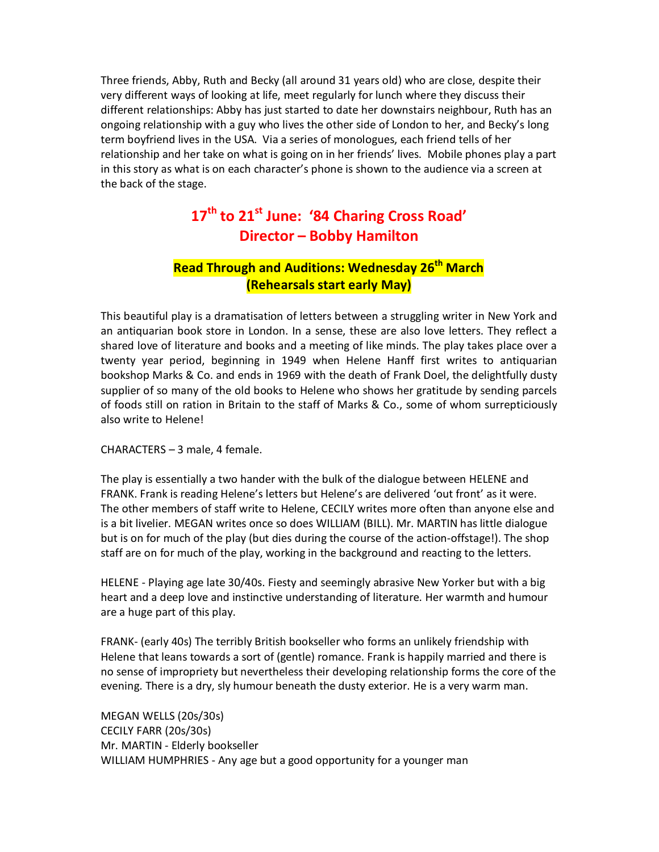Three friends, Abby, Ruth and Becky (all around 31 years old) who are close, despite their very different ways of looking at life, meet regularly for lunch where they discuss their different relationships: Abby has just started to date her downstairs neighbour, Ruth has an ongoing relationship with a guy who lives the other side of London to her, and Becky's long term boyfriend lives in the USA. Via a series of monologues, each friend tells of her relationship and her take on what is going on in her friends' lives. Mobile phones play a part in this story as what is on each character's phone is shown to the audience via a screen at the back of the stage.

## **17th to 21st June: '84 Charing Cross Road' Director – Bobby Hamilton**

#### **Read Through and Auditions: Wednesday 26th March (Rehearsals start early May)**

This beautiful play is a dramatisation of letters between a struggling writer in New York and an antiquarian book store in London. In a sense, these are also love letters. They reflect a shared love of literature and books and a meeting of like minds. The play takes place over a twenty year period, beginning in 1949 when Helene Hanff first writes to antiquarian bookshop Marks & Co. and ends in 1969 with the death of Frank Doel, the delightfully dusty supplier of so many of the old books to Helene who shows her gratitude by sending parcels of foods still on ration in Britain to the staff of Marks & Co., some of whom surrepticiously also write to Helene!

CHARACTERS – 3 male, 4 female.

The play is essentially a two hander with the bulk of the dialogue between HELENE and FRANK. Frank is reading Helene's letters but Helene's are delivered 'out front' as it were. The other members of staff write to Helene, CECILY writes more often than anyone else and is a bit livelier. MEGAN writes once so does WILLIAM (BILL). Mr. MARTIN has little dialogue but is on for much of the play (but dies during the course of the action-offstage!). The shop staff are on for much of the play, working in the background and reacting to the letters.

HELENE - Playing age late 30/40s. Fiesty and seemingly abrasive New Yorker but with a big heart and a deep love and instinctive understanding of literature. Her warmth and humour are a huge part of this play.

FRANK- (early 40s) The terribly British bookseller who forms an unlikely friendship with Helene that leans towards a sort of (gentle) romance. Frank is happily married and there is no sense of impropriety but nevertheless their developing relationship forms the core of the evening. There is a dry, sly humour beneath the dusty exterior. He is a very warm man.

MEGAN WELLS (20s/30s) CECILY FARR (20s/30s) Mr. MARTIN - Elderly bookseller WILLIAM HUMPHRIES - Any age but a good opportunity for a younger man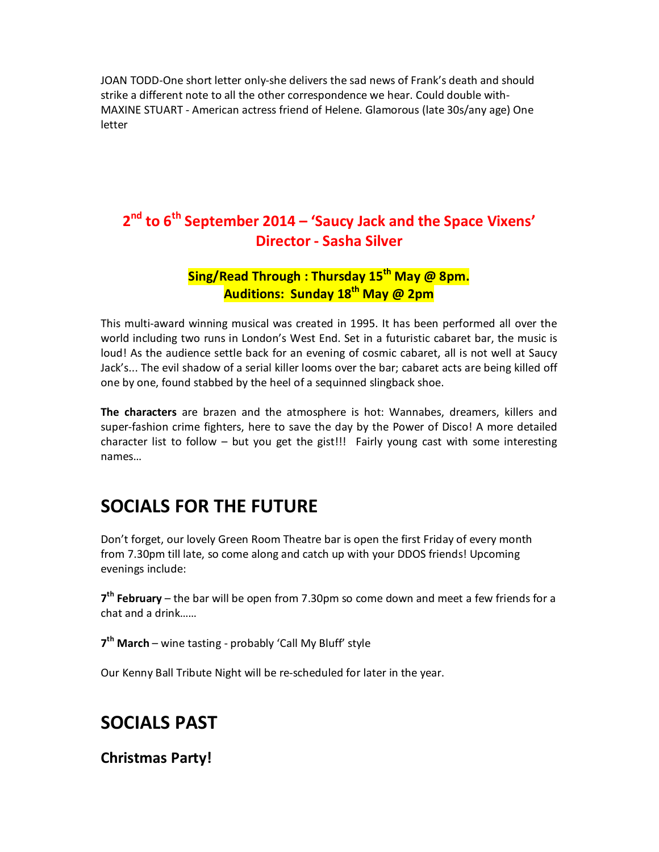JOAN TODD-One short letter only-she delivers the sad news of Frank's death and should strike a different note to all the other correspondence we hear. Could double with-MAXINE STUART - American actress friend of Helene. Glamorous (late 30s/any age) One letter

## **2 nd to 6th September 2014 – 'Saucy Jack and the Space Vixens' Director - Sasha Silver**

### **Sing/Read Through : Thursday 15th May @ 8pm. Auditions: Sunday 18th May @ 2pm**

This multi-award winning musical was created in 1995. It has been performed all over the world including two runs in London's West End. Set in a futuristic cabaret bar, the music is loud! As the audience settle back for an evening of cosmic cabaret, all is not well at Saucy Jack's... The evil shadow of a serial killer looms over the bar; cabaret acts are being killed off one by one, found stabbed by the heel of a sequinned slingback shoe.

**The characters** are brazen and the atmosphere is hot: Wannabes, dreamers, killers and super-fashion crime fighters, here to save the day by the Power of Disco! A more detailed character list to follow – but you get the gist!!! Fairly young cast with some interesting names…

# **SOCIALS FOR THE FUTURE**

Don't forget, our lovely Green Room Theatre bar is open the first Friday of every month from 7.30pm till late, so come along and catch up with your DDOS friends! Upcoming evenings include:

**7 th February** – the bar will be open from 7.30pm so come down and meet a few friends for a chat and a drink……

**7 th March** – wine tasting - probably 'Call My Bluff' style

Our Kenny Ball Tribute Night will be re-scheduled for later in the year.

## **SOCIALS PAST**

**Christmas Party!**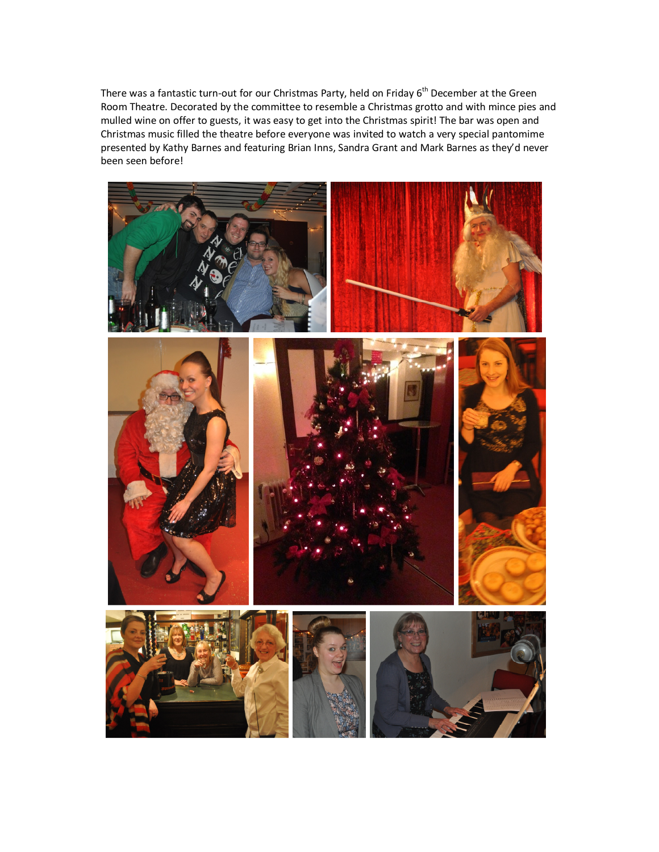There was a fantastic turn-out for our Christmas Party, held on Friday 6<sup>th</sup> December at the Green Room Theatre. Decorated by the committee to resemble a Christmas grotto and with mince pies and mulled wine on offer to guests, it was easy to get into the Christmas spirit! The bar was open and Christmas music filled the theatre before everyone was invited to watch a very special pantomime presented by Kathy Barnes and featuring Brian Inns, Sandra Grant and Mark Barnes as they'd never been seen before!